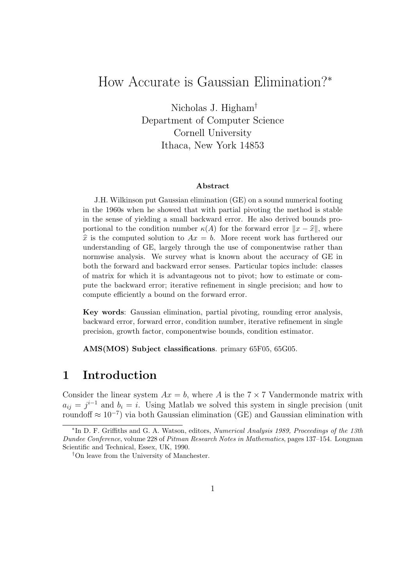# How Accurate is Gaussian Elimination?<sup>∗</sup>

Nicholas J. Higham† Department of Computer Science Cornell University Ithaca, New York 14853

#### Abstract

J.H. Wilkinson put Gaussian elimination (GE) on a sound numerical footing in the 1960s when he showed that with partial pivoting the method is stable in the sense of yielding a small backward error. He also derived bounds proportional to the condition number  $\kappa(A)$  for the forward error  $||x - \hat{x}||$ , where  $\hat{x}$  is the computed solution to  $Ax = b$ . More recent work has furthered our understanding of GE, largely through the use of componentwise rather than normwise analysis. We survey what is known about the accuracy of GE in both the forward and backward error senses. Particular topics include: classes of matrix for which it is advantageous not to pivot; how to estimate or compute the backward error; iterative refinement in single precision; and how to compute efficiently a bound on the forward error.

Key words: Gaussian elimination, partial pivoting, rounding error analysis, backward error, forward error, condition number, iterative refinement in single precision, growth factor, componentwise bounds, condition estimator.

AMS(MOS) Subject classifications. primary 65F05, 65G05.

### 1 Introduction

Consider the linear system  $Ax = b$ , where A is the  $7 \times 7$  Vandermonde matrix with  $a_{ij} = j^{i-1}$  and  $b_i = i$ . Using Matlab we solved this system in single precision (unit roundoff  $\approx 10^{-7}$ ) via both Gaussian elimination (GE) and Gaussian elimination with

<sup>∗</sup> In D. F. Griffiths and G. A. Watson, editors, Numerical Analysis 1989, Proceedings of the 13th Dundee Conference, volume 228 of Pitman Research Notes in Mathematics, pages 137–154. Longman Scientific and Technical, Essex, UK, 1990.

<sup>†</sup>On leave from the University of Manchester.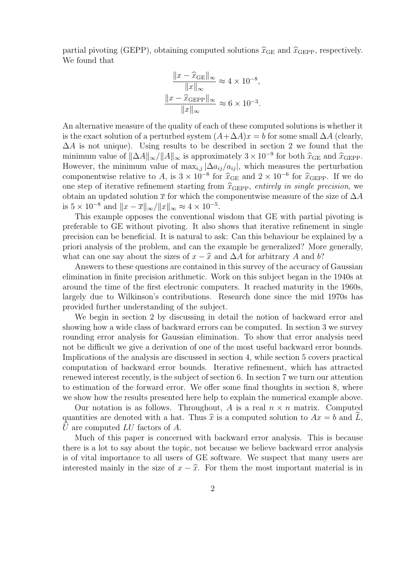partial pivoting (GEPP), obtaining computed solutions  $\hat{x}_{GE}$  and  $\hat{x}_{GEPP}$ , respectively. We found that

$$
\frac{\|x - \widehat{x}_{\text{GE}}\|_{\infty}}{\|x\|_{\infty}} \approx 4 \times 10^{-8},
$$
  

$$
\frac{\|x - \widehat{x}_{\text{GEPP}}\|_{\infty}}{\|x\|_{\infty}} \approx 6 \times 10^{-3}.
$$

An alternative measure of the quality of each of these computed solutions is whether it is the exact solution of a perturbed system  $(A+\Delta A)x = b$  for some small  $\Delta A$  (clearly,  $\Delta A$  is not unique). Using results to be described in section 2 we found that the minimum value of  $\|\Delta A\|_{\infty}/\|A\|_{\infty}$  is approximately  $3 \times 10^{-9}$  for both  $\hat{x}_{GE}$  and  $\hat{x}_{GEPP}$ .<br>However, the minimum value of may  $\|\Delta a\|_{\infty}/a$  is which measures the perturbation However, the minimum value of  $\max_{i,j} |\Delta a_{ij}/a_{ij}|$ , which measures the perturbation componentwise relative to A, is  $3 \times 10^{-8}$  for  $\hat{x}_{GE}$  and  $2 \times 10^{-6}$  for  $\hat{x}_{GEPP}$ . If we do<br>one step of iterative refinement starting from  $\hat{x}_{SPE}$  entirely in single precision, we one step of iterative refinement starting from  $\hat{x}_{\text{GEPP}}$ , entirely in single precision, we obtain an updated solution  $\bar{x}$  for which the componentwise measure of the size of  $\Delta A$ is  $5 \times 10^{-8}$  and  $||x - \overline{x}||_{\infty} / ||x||_{\infty} \approx 4 \times 10^{-5}$ .

This example opposes the conventional wisdom that GE with partial pivoting is preferable to GE without pivoting. It also shows that iterative refinement in single precision can be beneficial. It is natural to ask: Can this behaviour be explained by a priori analysis of the problem, and can the example be generalized? More generally, what can one say about the sizes of  $x - \hat{x}$  and  $\Delta A$  for arbitrary A and b?

Answers to these questions are contained in this survey of the accuracy of Gaussian elimination in finite precision arithmetic. Work on this subject began in the 1940s at around the time of the first electronic computers. It reached maturity in the 1960s, largely due to Wilkinson's contributions. Research done since the mid 1970s has provided further understanding of the subject.

We begin in section 2 by discussing in detail the notion of backward error and showing how a wide class of backward errors can be computed. In section 3 we survey rounding error analysis for Gaussian elimination. To show that error analysis need not be difficult we give a derivation of one of the most useful backward error bounds. Implications of the analysis are discussed in section 4, while section 5 covers practical computation of backward error bounds. Iterative refinement, which has attracted renewed interest recently, is the subject of section 6. In section 7 we turn our attention to estimation of the forward error. We offer some final thoughts in section 8, where we show how the results presented here help to explain the numerical example above.

Our notation is as follows. Throughout, A is a real  $n \times n$  matrix. Computed quantities are denoted with a hat. Thus  $\hat{x}$  is a computed solution to  $Ax = b$  and L,  $\hat{U}$  are computed LU factors of A.

Much of this paper is concerned with backward error analysis. This is because there is a lot to say about the topic, not because we believe backward error analysis is of vital importance to all users of GE software. We suspect that many users are interested mainly in the size of  $x - \hat{x}$ . For them the most important material is in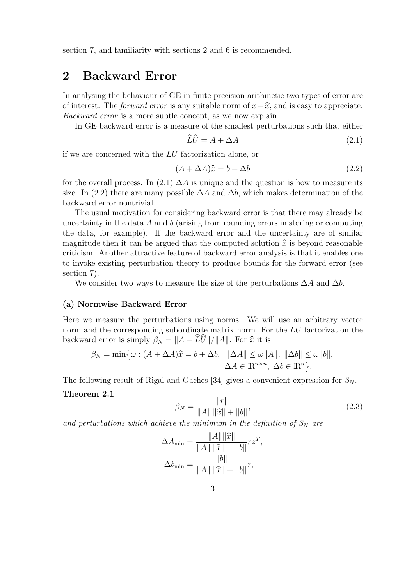section 7, and familiarity with sections 2 and 6 is recommended.

## 2 Backward Error

In analysing the behaviour of GE in finite precision arithmetic two types of error are of interest. The *forward error* is any suitable norm of  $x-\hat{x}$ , and is easy to appreciate. Backward error is a more subtle concept, as we now explain.

In GE backward error is a measure of the smallest perturbations such that either

$$
LU = A + \Delta A \tag{2.1}
$$

if we are concerned with the LU factorization alone, or

$$
(A + \Delta A)\hat{x} = b + \Delta b \tag{2.2}
$$

for the overall process. In (2.1)  $\Delta A$  is unique and the question is how to measure its size. In (2.2) there are many possible  $\Delta A$  and  $\Delta b$ , which makes determination of the backward error nontrivial.

The usual motivation for considering backward error is that there may already be uncertainty in the data  $A$  and  $b$  (arising from rounding errors in storing or computing the data, for example). If the backward error and the uncertainty are of similar magnitude then it can be argued that the computed solution  $\hat{x}$  is beyond reasonable criticism. Another attractive feature of backward error analysis is that it enables one to invoke existing perturbation theory to produce bounds for the forward error (see section 7).

We consider two ways to measure the size of the perturbations  $\Delta A$  and  $\Delta b$ .

#### (a) Normwise Backward Error

Here we measure the perturbations using norms. We will use an arbitrary vector norm and the corresponding subordinate matrix norm. For the LU factorization the backward error is simply  $\beta_N = ||A - \widehat{L}\widehat{U}||/||A||$ . For  $\widehat{x}$  it is

$$
\beta_N = \min \{ \omega : (A + \Delta A)\hat{x} = b + \Delta b, \|\Delta A\| \le \omega \|A\|, \|\Delta b\| \le \omega \|b\|,
$$
  

$$
\Delta A \in \mathbb{R}^{n \times n}, \ \Delta b \in \mathbb{R}^n \}.
$$

The following result of Rigal and Gaches [34] gives a convenient expression for  $\beta_N$ .

#### Theorem 2.1

$$
\beta_N = \frac{\|r\|}{\|A\| \|\widehat{x}\| + \|b\|},\tag{2.3}
$$

and perturbations which achieve the minimum in the definition of  $\beta_N$  are

$$
\Delta A_{\min} = \frac{\|A\| \|\widehat{x}\|}{\|A\| \|\widehat{x}\| + \|b\|} r z^T,
$$
  

$$
\Delta b_{\min} = \frac{\|b\|}{\|A\| \|\widehat{x}\| + \|b\|} r,
$$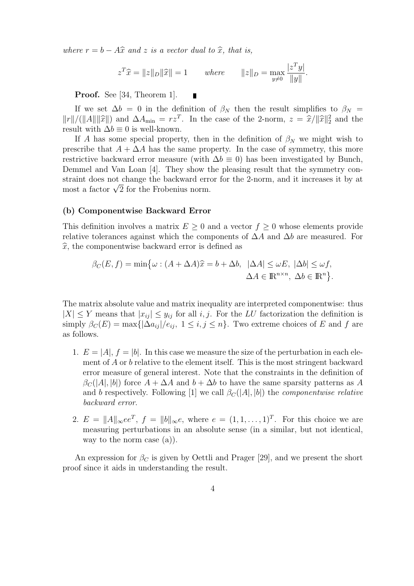where  $r = b - A\hat{x}$  and z is a vector dual to  $\hat{x}$ , that is,

$$
z^T \hat{x} = ||z||_D ||\hat{x}|| = 1 \quad where \quad ||z||_D = \max_{y \neq 0} \frac{|z^T y|}{||y||}.
$$

Proof. See [34, Theorem 1].

If we set  $\Delta b = 0$  in the definition of  $\beta_N$  then the result simplifies to  $\beta_N =$  $||r||/(||A||||\hat{x}||)$  and  $\Delta A_{\min} = rz^T$ . In the case of the 2-norm,  $z = \hat{x}/||\hat{x}||_2^2$  and the result with  $\Delta b = 0$  is well known. result with  $\Delta b \equiv 0$  is well-known.

If A has some special property, then in the definition of  $\beta_N$  we might wish to prescribe that  $A + \Delta A$  has the same property. In the case of symmetry, this more restrictive backward error measure (with  $\Delta b \equiv 0$ ) has been investigated by Bunch, Demmel and Van Loan [4]. They show the pleasing result that the symmetry constraint does not change the backward error for the 2-norm, and it increases it by at straint does not change the backward erre<br>most a factor  $\sqrt{2}$  for the Frobenius norm.

#### (b) Componentwise Backward Error

This definition involves a matrix  $E \geq 0$  and a vector  $f \geq 0$  whose elements provide relative tolerances against which the components of  $\Delta A$  and  $\Delta b$  are measured. For  $\hat{x}$ , the componentwise backward error is defined as

$$
\beta_C(E, f) = \min \{ \omega : (A + \Delta A)\hat{x} = b + \Delta b, \|\Delta A\| \le \omega E, \|\Delta b\| \le \omega f, \Delta A \in \mathbb{R}^{n \times n}, \Delta b \in \mathbb{R}^n \}.
$$

The matrix absolute value and matrix inequality are interpreted componentwise: thus  $|X| \leq Y$  means that  $|x_{ij}| \leq y_{ij}$  for all i, j. For the LU factorization the definition is simply  $\beta_C(E) = \max\{|\Delta a_{ij}|/e_{ij}, 1 \le i,j \le n\}$ . Two extreme choices of E and f are as follows.

- 1.  $E = |A|$ ,  $f = |b|$ . In this case we measure the size of the perturbation in each element of A or b relative to the element itself. This is the most stringent backward error measure of general interest. Note that the constraints in the definition of  $\beta_C(|A|, |b|)$  force  $A + \Delta A$  and  $b + \Delta b$  to have the same sparsity patterns as A and b respectively. Following [1] we call  $\beta_C(|A|, |b|)$  the *componentwise relative* backward error.
- 2.  $E = ||A||_{\infty} e e^T$ ,  $f = ||b||_{\infty} e$ , where  $e = (1, 1, \ldots, 1)^T$ . For this choice we are measuring perturbations in an absolute sense (in a similar, but not identical, way to the norm case (a)).

An expression for  $\beta_C$  is given by Oettli and Prager [29], and we present the short proof since it aids in understanding the result.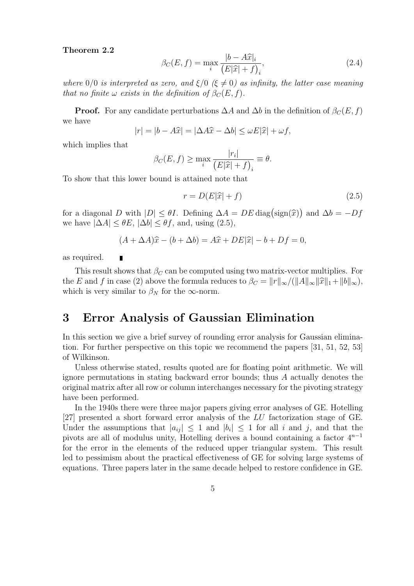#### Theorem 2.2

$$
\beta_C(E, f) = \max_i \frac{|b - A\widehat{x}|_i}{\left(E|\widehat{x}| + f\right)_i},\tag{2.4}
$$

where  $0/0$  is interpreted as zero, and  $\xi/0$  ( $\xi \neq 0$ ) as infinity, the latter case meaning that no finite  $\omega$  exists in the definition of  $\beta_C(E, f)$ .

**Proof.** For any candidate perturbations  $\Delta A$  and  $\Delta b$  in the definition of  $\beta_C(E, f)$ we have

$$
|r| = |b - A\widehat{x}| = |\Delta A\widehat{x} - \Delta b| \le \omega E|\widehat{x}| + \omega f,
$$

which implies that

$$
\beta_C(E, f) \ge \max_i \frac{|r_i|}{(E|\widehat{x}| + f)_i} \equiv \theta.
$$

To show that this lower bound is attained note that

$$
r = D(E|\hat{x}| + f) \tag{2.5}
$$

for a diagonal D with  $|D| \le \theta I$ . Defining  $\Delta A = DE \operatorname{diag}(\operatorname{sign}(\hat{x}))$  and  $\Delta b = -Df$ <br>we have  $|\Delta A| \le \theta F$ ,  $|\Delta b| \le \theta f$ , and using  $(2.5)$ we have  $|\Delta A| \leq \theta E$ ,  $|\Delta b| \leq \theta f$ , and, using (2.5),

$$
(A + \Delta A)\hat{x} - (b + \Delta b) = A\hat{x} + DE|\hat{x}| - b + Df = 0,
$$

as required.

Г

This result shows that  $\beta_C$  can be computed using two matrix-vector multiplies. For the E and f in case (2) above the formula reduces to  $\beta_C = ||r||_{\infty}/(||A||_{\infty}||\hat{x}||_1+||b||_{\infty}),$ which is very similar to  $\beta_N$  for the  $\infty$ -norm.

### 3 Error Analysis of Gaussian Elimination

In this section we give a brief survey of rounding error analysis for Gaussian elimination. For further perspective on this topic we recommend the papers [31, 51, 52, 53] of Wilkinson.

Unless otherwise stated, results quoted are for floating point arithmetic. We will ignore permutations in stating backward error bounds; thus A actually denotes the original matrix after all row or column interchanges necessary for the pivoting strategy have been performed.

In the 1940s there were three major papers giving error analyses of GE. Hotelling [27] presented a short forward error analysis of the LU factorization stage of GE. Under the assumptions that  $|a_{ij}| \leq 1$  and  $|b_i| \leq 1$  for all i and j, and that the pivots are all of modulus unity, Hotelling derives a bound containing a factor  $4^{n-1}$ for the error in the elements of the reduced upper triangular system. This result led to pessimism about the practical effectiveness of GE for solving large systems of equations. Three papers later in the same decade helped to restore confidence in GE.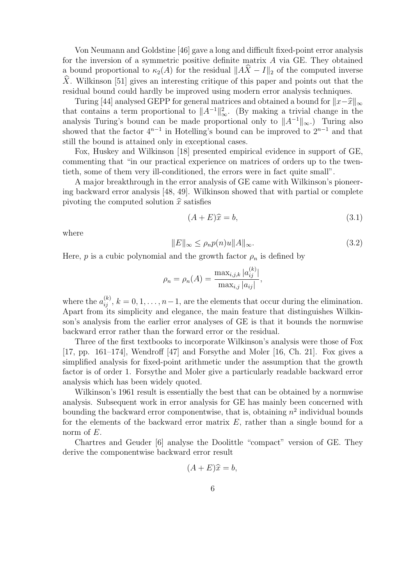Von Neumann and Goldstine [46] gave a long and difficult fixed-point error analysis for the inversion of a symmetric positive definite matrix A via GE. They obtained a bound proportional to  $\kappa_2(A)$  for the residual  $||A\hat{X} - I||_2$  of the computed inverse  $\hat{X}$ . Wilkinson [51] gives an interesting critique of this paper and points out that the residual bound could hardly be improved using modern error analysis techniques.

Turing [44] analysed GEPP for general matrices and obtained a bound for  $||x-\hat{x}||_{\infty}$ that contains a term proportional to  $||A^{-1}||_{\infty}^2$ . (By making a trivial change in the analysis Turing's bound can be made proportional only to  $||A^{-1}||_{\infty}$ .) Turing also showed that the factor  $4^{n-1}$  in Hotelling's bound can be improved to  $2^{n-1}$  and that still the bound is attained only in exceptional cases.

Fox, Huskey and Wilkinson [18] presented empirical evidence in support of GE, commenting that "in our practical experience on matrices of orders up to the twentieth, some of them very ill-conditioned, the errors were in fact quite small".

A major breakthrough in the error analysis of GE came with Wilkinson's pioneering backward error analysis [48, 49]. Wilkinson showed that with partial or complete pivoting the computed solution  $\hat{x}$  satisfies

$$
(A + E)\hat{x} = b,\t\t(3.1)
$$

where

$$
||E||_{\infty} \le \rho_n p(n)u||A||_{\infty}.\tag{3.2}
$$

Here,  $p$  is a cubic polynomial and the growth factor  $\rho_n$  is defined by

$$
\rho_n = \rho_n(A) = \frac{\max_{i,j,k} |a_{ij}^{(k)}|}{\max_{i,j} |a_{ij}|},
$$

where the  $a_{ij}^{(k)}$ ,  $k = 0, 1, \ldots, n-1$ , are the elements that occur during the elimination. Apart from its simplicity and elegance, the main feature that distinguishes Wilkinson's analysis from the earlier error analyses of GE is that it bounds the normwise backward error rather than the forward error or the residual.

Three of the first textbooks to incorporate Wilkinson's analysis were those of Fox [17, pp. 161–174], Wendroff [47] and Forsythe and Moler [16, Ch. 21]. Fox gives a simplified analysis for fixed-point arithmetic under the assumption that the growth factor is of order 1. Forsythe and Moler give a particularly readable backward error analysis which has been widely quoted.

Wilkinson's 1961 result is essentially the best that can be obtained by a normwise analysis. Subsequent work in error analysis for GE has mainly been concerned with bounding the backward error componentwise, that is, obtaining  $n^2$  individual bounds for the elements of the backward error matrix  $E$ , rather than a single bound for a norm of  $E$ .

Chartres and Geuder [6] analyse the Doolittle "compact" version of GE. They derive the componentwise backward error result

$$
(A+E)\hat{x}=b,
$$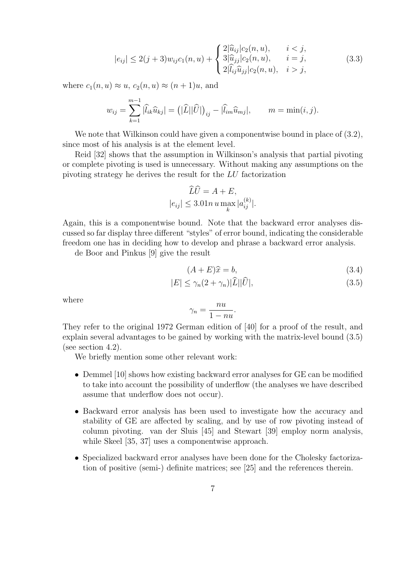$$
|e_{ij}| \le 2(j+3)w_{ij}c_1(n,u) + \begin{cases} 2|\widehat{u}_{ij}|c_2(n,u), & i < j, \\ 3|\widehat{u}_{jj}|c_2(n,u), & i = j, \\ 2|\widehat{l}_{ij}\widehat{u}_{jj}|c_2(n,u), & i > j, \end{cases}
$$
(3.3)

where  $c_1(n, u) \approx u$ ,  $c_2(n, u) \approx (n + 1)u$ , and

$$
w_{ij} = \sum_{k=1}^{m-1} |\widehat{l}_{ik}\widehat{u}_{kj}| = (|\widehat{L}||\widehat{U}|)_{ij} - |\widehat{l}_{im}\widehat{u}_{mj}|, \qquad m = \min(i, j).
$$

We note that Wilkinson could have given a componentwise bound in place of  $(3.2)$ , since most of his analysis is at the element level.

Reid [32] shows that the assumption in Wilkinson's analysis that partial pivoting or complete pivoting is used is unnecessary. Without making any assumptions on the pivoting strategy he derives the result for the LU factorization

$$
\widehat{L}\widehat{U} = A + E,
$$
  

$$
|e_{ij}| \le 3.01n u \max_{k} |a_{ij}^{(k)}|.
$$

Again, this is a componentwise bound. Note that the backward error analyses discussed so far display three different "styles" of error bound, indicating the considerable freedom one has in deciding how to develop and phrase a backward error analysis.

de Boor and Pinkus [9] give the result

$$
(A + E)\hat{x} = b,\tag{3.4}
$$

$$
|E| \le \gamma_n (2 + \gamma_n) |\widehat{L}| |\widehat{U}|,\tag{3.5}
$$

where

$$
\gamma_n = \frac{nu}{1 - nu}.
$$

They refer to the original 1972 German edition of [40] for a proof of the result, and explain several advantages to be gained by working with the matrix-level bound (3.5) (see section 4.2).

We briefly mention some other relevant work:

- Demmel [10] shows how existing backward error analyses for GE can be modified to take into account the possibility of underflow (the analyses we have described assume that underflow does not occur).
- Backward error analysis has been used to investigate how the accuracy and stability of GE are affected by scaling, and by use of row pivoting instead of column pivoting. van der Sluis [45] and Stewart [39] employ norm analysis, while Skeel [35, 37] uses a componentwise approach.
- Specialized backward error analyses have been done for the Cholesky factorization of positive (semi-) definite matrices; see [25] and the references therein.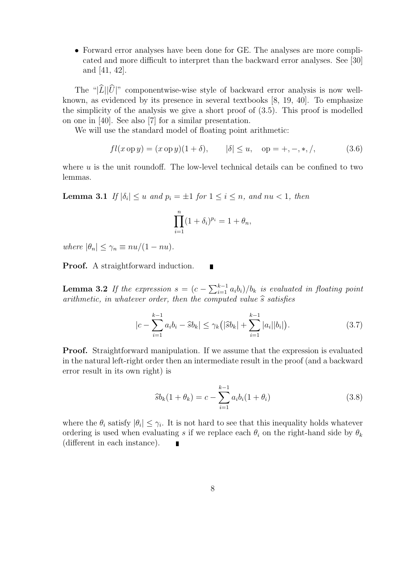• Forward error analyses have been done for GE. The analyses are more complicated and more difficult to interpret than the backward error analyses. See [30] and [41, 42].

The " $|\widehat{L}||\widehat{U}|$ " componentwise-wise style of backward error analysis is now wellknown, as evidenced by its presence in several textbooks [8, 19, 40]. To emphasize the simplicity of the analysis we give a short proof of (3.5). This proof is modelled on one in [40]. See also [7] for a similar presentation.

We will use the standard model of floating point arithmetic:

$$
fl(x \text{ op } y) = (x \text{ op } y)(1 + \delta), \qquad |\delta| \le u, \quad \text{op} = +, -, *, /,
$$
 (3.6)

where  $u$  is the unit roundoff. The low-level technical details can be confined to two lemmas.

**Lemma 3.1** If  $|\delta_i| \leq u$  and  $p_i = \pm 1$  for  $1 \leq i \leq n$ , and  $nu < 1$ , then

$$
\prod_{i=1}^n (1+\delta_i)^{p_i} = 1+\theta_n,
$$

where  $|\theta_n| \leq \gamma_n \equiv nu/(1 - nu)$ .

Proof. A straightforward induction.

**Lemma 3.2** If the expression  $s = (c - \sum_{i=1}^{k-1} a_i b_i)/b_k$  is evaluated in floating point arithmetic, in whatever order, then the computed value  $\hat{s}$  satisfies

П

$$
|c - \sum_{i=1}^{k-1} a_i b_i - \widehat{s} b_k| \le \gamma_k (|\widehat{s} b_k| + \sum_{i=1}^{k-1} |a_i| |b_i|). \tag{3.7}
$$

Proof. Straightforward manipulation. If we assume that the expression is evaluated in the natural left-right order then an intermediate result in the proof (and a backward error result in its own right) is

$$
\widehat{s}b_k(1+\theta_k) = c - \sum_{i=1}^{k-1} a_i b_i (1+\theta_i)
$$
\n(3.8)

where the  $\theta_i$  satisfy  $|\theta_i| \leq \gamma_i$ . It is not hard to see that this inequality holds whatever ordering is used when evaluating s if we replace each  $\theta_i$  on the right-hand side by  $\theta_k$ (different in each instance).  $\blacksquare$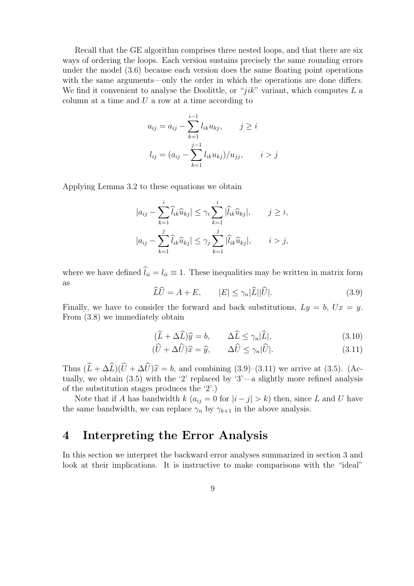Recall that the GE algorithm comprises three nested loops, and that there are six ways of ordering the loops. Each version sustains precisely the same rounding errors under the model (3.6) because each version does the same floating point operations with the same arguments—only the order in which the operations are done differs. We find it convenient to analyse the Doolittle, or " $jik$ " variant, which computes  $L$  a column at a time and  $U$  a row at a time according to

$$
u_{ij} = a_{ij} - \sum_{k=1}^{i-1} l_{ik} u_{kj}, \qquad j \ge i
$$
  

$$
l_{ij} = (a_{ij} - \sum_{k=1}^{j-1} l_{ik} u_{kj})/u_{jj}, \qquad i > j
$$

Applying Lemma 3.2 to these equations we obtain

$$
|a_{ij} - \sum_{k=1}^i \widehat{l}_{ik}\widehat{u}_{kj}| \leq \gamma_i \sum_{k=1}^i |\widehat{l}_{ik}\widehat{u}_{kj}|, \qquad j \geq i,
$$
  

$$
|a_{ij} - \sum_{k=1}^j \widehat{l}_{ik}\widehat{u}_{kj}| \leq \gamma_j \sum_{k=1}^j |\widehat{l}_{ik}\widehat{u}_{kj}|, \qquad i > j,
$$

where we have defined  $\hat{l}_{ii} = l_{ii} \equiv 1$ . These inequalities may be written in matrix form as

$$
\widehat{L}\widehat{U} = A + E, \qquad |E| \le \gamma_n |\widehat{L}||\widehat{U}|.
$$
\n(3.9)

Finally, we have to consider the forward and back substitutions,  $Ly = b$ ,  $Ux = y$ . From (3.8) we immediately obtain

$$
(\widehat{L} + \Delta \widehat{L})\widehat{y} = b, \qquad \Delta \widehat{L} \le \gamma_n |\widehat{L}|,\tag{3.10}
$$

$$
(\widehat{U} + \Delta \widehat{U})\widehat{x} = \widehat{y}, \qquad \Delta \widehat{U} \le \gamma_n |\widehat{U}|.
$$
\n(3.11)

Thus  $(\hat{L} + \Delta \hat{L})(\hat{U} + \Delta \hat{U})\hat{x} = b$ , and combining (3.9)–(3.11) we arrive at (3.5). (Actually, we obtain (3.5) with the '2' replaced by '3'—a slightly more refined analysis of the substitution stages produces the '2'.)

Note that if A has bandwidth k  $(a_{ij} = 0$  for  $|i - j| > k$ ) then, since L and U have the same bandwidth, we can replace  $\gamma_n$  by  $\gamma_{k+1}$  in the above analysis.

### 4 Interpreting the Error Analysis

In this section we interpret the backward error analyses summarized in section 3 and look at their implications. It is instructive to make comparisons with the "ideal"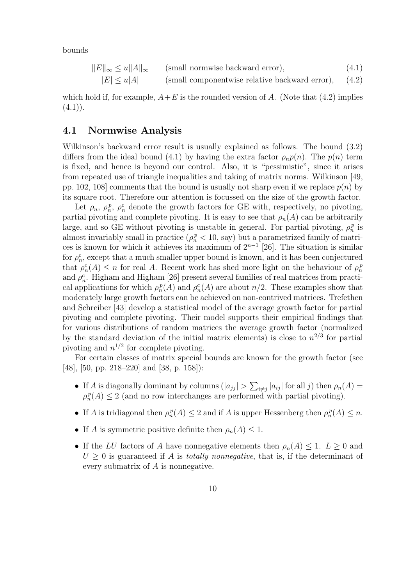bounds

$$
||E||_{\infty} \le u||A||_{\infty} \qquad \text{(small normwise backward error)}, \tag{4.1}
$$

$$
|E| \le u|A|
$$
 (small componentwise relative backward error), (4.2)

which hold if, for example,  $A+E$  is the rounded version of A. (Note that (4.2) implies  $(4.1)$ .

#### 4.1 Normwise Analysis

Wilkinson's backward error result is usually explained as follows. The bound (3.2) differs from the ideal bound (4.1) by having the extra factor  $\rho_n p(n)$ . The  $p(n)$  term is fixed, and hence is beyond our control. Also, it is "pessimistic", since it arises from repeated use of triangle inequalities and taking of matrix norms. Wilkinson [49, pp. 102, 108] comments that the bound is usually not sharp even if we replace  $p(n)$  by its square root. Therefore our attention is focussed on the size of the growth factor.

Let  $\rho_n$ ,  $\rho_n^p$ ,  $\rho_n^c$  denote the growth factors for GE with, respectively, no pivoting, partial pivoting and complete pivoting. It is easy to see that  $\rho_n(A)$  can be arbitrarily large, and so GE without pivoting is unstable in general. For partial pivoting,  $\rho_n^p$  is almost invariably small in practice  $(\rho_n^p < 10, \text{ say})$  but a parametrized family of matrices is known for which it achieves its maximum of  $2^{n-1}$  [26]. The situation is similar for  $\rho_n^c$ , except that a much smaller upper bound is known, and it has been conjectured that  $\rho_n^c(A) \leq n$  for real A. Recent work has shed more light on the behaviour of  $\rho_n^p$ and  $\rho_n^c$ . Higham and Higham [26] present several families of real matrices from practical applications for which  $\rho_n^p(A)$  and  $\rho_n^c(A)$  are about  $n/2$ . These examples show that moderately large growth factors can be achieved on non-contrived matrices. Trefethen and Schreiber [43] develop a statistical model of the average growth factor for partial pivoting and complete pivoting. Their model supports their empirical findings that for various distributions of random matrices the average growth factor (normalized by the standard deviation of the initial matrix elements) is close to  $n^{2/3}$  for partial pivoting and  $n^{1/2}$  for complete pivoting.

For certain classes of matrix special bounds are known for the growth factor (see [48], [50, pp. 218–220] and [38, p. 158]):

- If A is diagonally dominant by columns  $(|a_{jj}| > \sum_{i \neq j} |a_{ij}|$  for all j) then  $\rho_n(A) =$  $\rho_n^p(A) \leq 2$  (and no row interchanges are performed with partial pivoting).
- If A is tridiagonal then  $\rho_n^p(A) \leq 2$  and if A is upper Hessenberg then  $\rho_n^p(A) \leq n$ .
- If A is symmetric positive definite then  $\rho_n(A) \leq 1$ .
- If the LU factors of A have nonnegative elements then  $\rho_n(A) \leq 1$ .  $L > 0$  and  $U > 0$  is guaranteed if A is *totally nonnegative*, that is, if the determinant of every submatrix of A is nonnegative.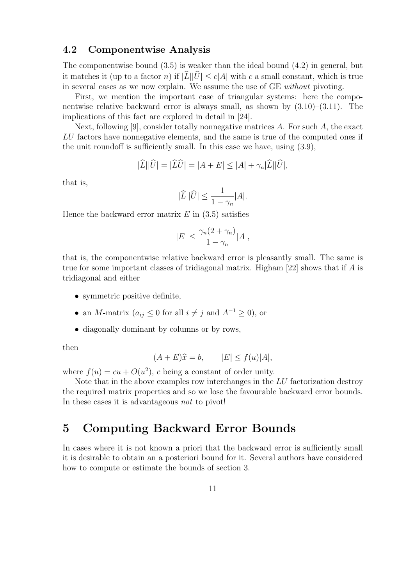### 4.2 Componentwise Analysis

The componentwise bound (3.5) is weaker than the ideal bound (4.2) in general, but it matches it (up to a factor n) if  $|L||U| \le c|A|$  with c a small constant, which is true in several cases as we now explain. We assume the use of GE without pivoting.

First, we mention the important case of triangular systems: here the componentwise relative backward error is always small, as shown by  $(3.10)$ – $(3.11)$ . The implications of this fact are explored in detail in [24].

Next, following [9], consider totally nonnegative matrices  $A$ . For such  $A$ , the exact LU factors have nonnegative elements, and the same is true of the computed ones if the unit roundoff is sufficiently small. In this case we have, using (3.9),

$$
|\widehat{L}||\widehat{U}| = |\widehat{L}\widehat{U}| = |A + E| \leq |A| + \gamma_n |\widehat{L}||\widehat{U}|,
$$

that is,

$$
|\widehat{L}||\widehat{U}| \le \frac{1}{1 - \gamma_n}|A|.
$$

Hence the backward error matrix  $E$  in (3.5) satisfies

$$
|E| \le \frac{\gamma_n (2 + \gamma_n)}{1 - \gamma_n} |A|,
$$

that is, the componentwise relative backward error is pleasantly small. The same is true for some important classes of tridiagonal matrix. Higham [22] shows that if A is tridiagonal and either

- symmetric positive definite,
- an M-matrix  $(a_{ij} \leq 0$  for all  $i \neq j$  and  $A^{-1} \geq 0$ , or
- diagonally dominant by columns or by rows,

then

$$
(A + E)\hat{x} = b, \qquad |E| \le f(u)|A|,
$$

where  $f(u) = cu + O(u^2)$ , c being a constant of order unity.

Note that in the above examples row interchanges in the LU factorization destroy the required matrix properties and so we lose the favourable backward error bounds. In these cases it is advantageous not to pivot!

## 5 Computing Backward Error Bounds

In cases where it is not known a priori that the backward error is sufficiently small it is desirable to obtain an a posteriori bound for it. Several authors have considered how to compute or estimate the bounds of section 3.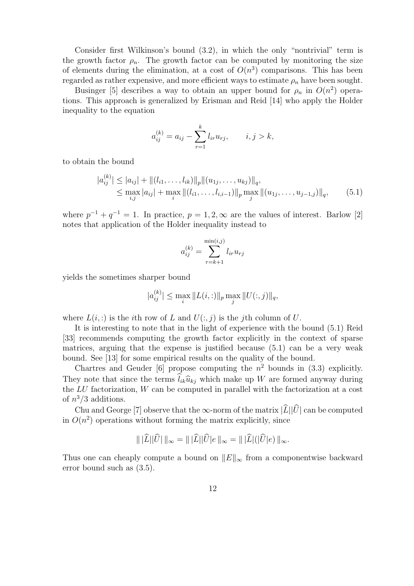Consider first Wilkinson's bound (3.2), in which the only "nontrivial" term is the growth factor  $\rho_n$ . The growth factor can be computed by monitoring the size of elements during the elimination, at a cost of  $O(n^3)$  comparisons. This has been regarded as rather expensive, and more efficient ways to estimate  $\rho_n$  have been sought.

Businger [5] describes a way to obtain an upper bound for  $\rho_n$  in  $O(n^2)$  operations. This approach is generalized by Erisman and Reid [14] who apply the Holder inequality to the equation

$$
a_{ij}^{(k)} = a_{ij} - \sum_{r=1}^{k} l_{ir} u_{rj}, \qquad i, j > k,
$$

to obtain the bound

$$
|a_{ij}^{(k)}| \le |a_{ij}| + ||(l_{i1}, \dots, l_{ik})||_p ||(u_{1j}, \dots, u_{kj})||_q,
$$
  
\n
$$
\le \max_{i,j} |a_{ij}| + \max_i ||(l_{i1}, \dots, l_{i,i-1})||_p \max_j ||(u_{1j}, \dots, u_{j-1,j})||_q,
$$
 (5.1)

where  $p^{-1} + q^{-1} = 1$ . In practice,  $p = 1, 2, \infty$  are the values of interest. Barlow [2] notes that application of the Holder inequality instead to

$$
a_{ij}^{(k)} = \sum_{r=k+1}^{\min(i,j)} l_{ir} u_{rj}
$$

yields the sometimes sharper bound

$$
|a_{ij}^{(k)}| \le \max_i \|L(i, :)\|_p \max_j \|U(:, j)\|_q,
$$

where  $L(i, :)$  is the *i*th row of L and  $U(:, j)$  is the *j*th column of U.

It is interesting to note that in the light of experience with the bound (5.1) Reid [33] recommends computing the growth factor explicitly in the context of sparse matrices, arguing that the expense is justified because (5.1) can be a very weak bound. See [13] for some empirical results on the quality of the bound.

Chartres and Geuder [6] propose computing the  $n^2$  bounds in (3.3) explicitly. They note that since the terms  $\hat{l}_{ik}\hat{u}_{ki}$  which make up W are formed anyway during the LU factorization, W can be computed in parallel with the factorization at a cost of  $n^3/3$  additions.

Chu and George [7] observe that the ∞-norm of the matrix  $|\hat{L}||\hat{U}|$  can be computed in  $O(n^2)$  operations without forming the matrix explicitly, since

$$
\| |\widehat{L}| |\widehat{U}| \|_{\infty} = \| |\widehat{L}| |\widehat{U}| e \|_{\infty} = \| |\widehat{L}| (|\widehat{U}| e) \|_{\infty}.
$$

Thus one can cheaply compute a bound on  $||E||_{\infty}$  from a componentwise backward error bound such as (3.5).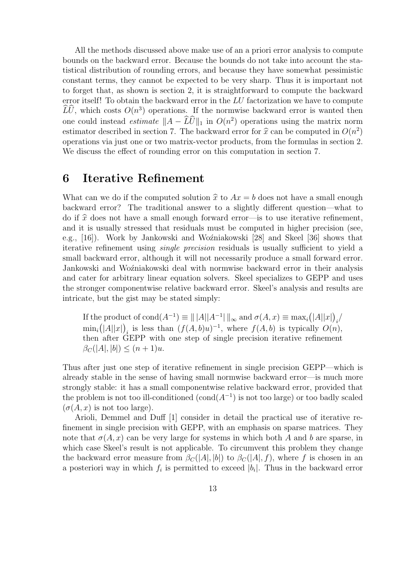All the methods discussed above make use of an a priori error analysis to compute bounds on the backward error. Because the bounds do not take into account the statistical distribution of rounding errors, and because they have somewhat pessimistic constant terms, they cannot be expected to be very sharp. Thus it is important not to forget that, as shown is section 2, it is straightforward to compute the backward error itself! To obtain the backward error in the LU factorization we have to compute  $\widehat{LU}$ , which costs  $O(n^3)$  operations. If the normwise backward error is wanted then one could instead *estimate*  $||A - \widetilde{L}\widetilde{U}||_1$  in  $O(n^2)$  operations using the matrix norm estimator described in section 7. The backward error for  $\hat{x}$  can be computed in  $O(n^2)$ <br>operations via just one or two matrix vector products, from the formulas in section 2. operations via just one or two matrix-vector products, from the formulas in section 2. We discuss the effect of rounding error on this computation in section 7.

### 6 Iterative Refinement

What can we do if the computed solution  $\hat{x}$  to  $Ax = b$  does not have a small enough backward error? The traditional answer to a slightly different question—what to do if  $\hat{x}$  does not have a small enough forward error—is to use iterative refinement, and it is usually stressed that residuals must be computed in higher precision (see, e.g., [16]). Work by Jankowski and Woźniakowski [28] and Skeel [36] shows that iterative refinement using single precision residuals is usually sufficient to yield a small backward error, although it will not necessarily produce a small forward error. Jankowski and Woźniakowski deal with normwise backward error in their analysis and cater for arbitrary linear equation solvers. Skeel specializes to GEPP and uses the stronger componentwise relative backward error. Skeel's analysis and results are intricate, but the gist may be stated simply:

If the product of  $\text{cond}(A^{-1}) \equiv ||A||A^{-1}||_{\infty}$  and  $\sigma(A, x) \equiv \max_i (|A||x|)_i$  $\min_i (|A||x|)_i$  is less than  $(f(A,b)u)^{-1}$ , where  $f(A,b)$  is typically  $O(n)$ , then after GEPP with one step of single precision iterative refinement  $\beta_C(|A|, |b|) \le (n+1)u.$ 

Thus after just one step of iterative refinement in single precision GEPP—which is already stable in the sense of having small normwise backward error—is much more strongly stable: it has a small componentwise relative backward error, provided that the problem is not too ill-conditioned  $(\text{cond}(A^{-1})$  is not too large) or too badly scaled  $(\sigma(A, x)$  is not too large).

Arioli, Demmel and Duff [1] consider in detail the practical use of iterative refinement in single precision with GEPP, with an emphasis on sparse matrices. They note that  $\sigma(A, x)$  can be very large for systems in which both A and b are sparse, in which case Skeel's result is not applicable. To circumvent this problem they change the backward error measure from  $\beta_C(|A|, |b|)$  to  $\beta_C(|A|, f)$ , where f is chosen in an a posteriori way in which  $f_i$  is permitted to exceed  $|b_i|$ . Thus in the backward error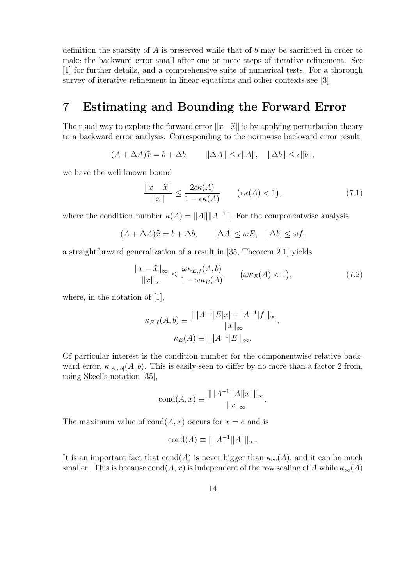definition the sparsity of  $A$  is preserved while that of  $b$  may be sacrificed in order to make the backward error small after one or more steps of iterative refinement. See [1] for further details, and a comprehensive suite of numerical tests. For a thorough survey of iterative refinement in linear equations and other contexts see [3].

## 7 Estimating and Bounding the Forward Error

The usual way to explore the forward error  $||x-\hat{x}||$  is by applying perturbation theory to a backward error analysis. Corresponding to the normwise backward error result

 $(A + \Delta A)\hat{x} = b + \Delta b, \qquad \|\Delta A\| \leq \epsilon \|A\|, \quad \|\Delta b\| \leq \epsilon \|b\|,$ 

we have the well-known bound

$$
\frac{\|x-\widehat{x}\|}{\|x\|} \le \frac{2\epsilon\kappa(A)}{1-\epsilon\kappa(A)} \qquad (\epsilon\kappa(A) < 1),\tag{7.1}
$$

where the condition number  $\kappa(A) = ||A|| ||A^{-1}||$ . For the componentwise analysis

$$
(A + \Delta A)\hat{x} = b + \Delta b, \qquad |\Delta A| \le \omega E, \quad |\Delta b| \le \omega f,
$$

a straightforward generalization of a result in [35, Theorem 2.1] yields

$$
\frac{\|x-\widehat{x}\|_{\infty}}{\|x\|_{\infty}} \le \frac{\omega \kappa_{E,f}(A,b)}{1-\omega \kappa_E(A)} \qquad \left(\omega \kappa_E(A) < 1\right),\tag{7.2}
$$

where, in the notation of [1],

$$
\kappa_{E,f}(A,b) \equiv \frac{\| |A^{-1}|E|x| + |A^{-1}|f\|_{\infty}}{\|x\|_{\infty}},
$$

$$
\kappa_E(A) \equiv \| |A^{-1}|E\|_{\infty}.
$$

Of particular interest is the condition number for the componentwise relative backward error,  $\kappa_{|A|,|b|}(A, b)$ . This is easily seen to differ by no more than a factor 2 from, using Skeel's notation [35],

$$
cond(A, x) \equiv \frac{\| |A^{-1}| |A| |x| \|_{\infty}}{\|x\|_{\infty}}.
$$

The maximum value of  $\text{cond}(A, x)$  occurs for  $x = e$  and is

$$
cond(A) \equiv || |A^{-1}||A|| ||_{\infty}.
$$

It is an important fact that cond(A) is never bigger than  $\kappa_{\infty}(A)$ , and it can be much smaller. This is because cond $(A, x)$  is independent of the row scaling of A while  $\kappa_{\infty}(A)$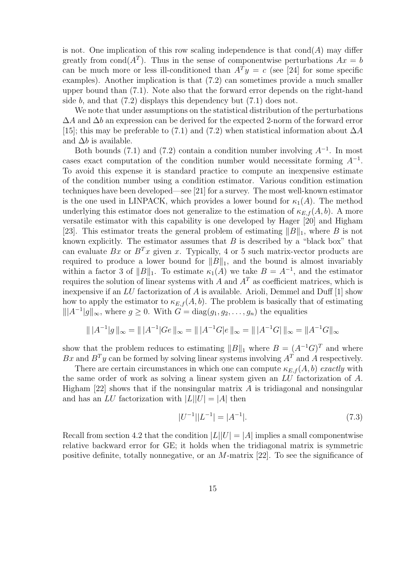is not. One implication of this row scaling independence is that  $\text{cond}(A)$  may differ greatly from cond( $A<sup>T</sup>$ ). Thus in the sense of componentwise perturbations  $Ax = b$ can be much more or less ill-conditioned than  $A<sup>T</sup>y = c$  (see [24] for some specific examples). Another implication is that (7.2) can sometimes provide a much smaller upper bound than (7.1). Note also that the forward error depends on the right-hand side  $b$ , and that  $(7.2)$  displays this dependency but  $(7.1)$  does not.

We note that under assumptions on the statistical distribution of the perturbations  $\Delta A$  and  $\Delta b$  an expression can be derived for the expected 2-norm of the forward error [15]; this may be preferable to (7.1) and (7.2) when statistical information about  $\Delta A$ and  $\Delta b$  is available.

Both bounds (7.1) and (7.2) contain a condition number involving  $A^{-1}$ . In most cases exact computation of the condition number would necessitate forming  $A^{-1}$ . To avoid this expense it is standard practice to compute an inexpensive estimate of the condition number using a condition estimator. Various condition estimation techniques have been developed—see [21] for a survey. The most well-known estimator is the one used in LINPACK, which provides a lower bound for  $\kappa_1(A)$ . The method underlying this estimator does not generalize to the estimation of  $\kappa_{E,f}(A, b)$ . A more versatile estimator with this capability is one developed by Hager [20] and Higham [23]. This estimator treats the general problem of estimating  $||B||_1$ , where B is not known explicitly. The estimator assumes that  $B$  is described by a "black box" that can evaluate Bx or  $B<sup>T</sup>x$  given x. Typically, 4 or 5 such matrix-vector products are required to produce a lower bound for  $||B||_1$ , and the bound is almost invariably within a factor 3 of  $||B||_1$ . To estimate  $\kappa_1(A)$  we take  $B = A^{-1}$ , and the estimator requires the solution of linear systems with A and  $A<sup>T</sup>$  as coefficient matrices, which is inexpensive if an LU factorization of A is available. Arioli, Demmel and Duff [1] show how to apply the estimator to  $\kappa_{E,f}(A, b)$ . The problem is basically that of estimating  $||A^{-1}|g||_{\infty}$ , where  $g \geq 0$ . With  $G = \text{diag}(g_1, g_2, \ldots, g_n)$  the equalities

$$
\| |A^{-1}|g \|_{\infty} = \| |A^{-1}|Ge \|_{\infty} = \| |A^{-1}G|e \|_{\infty} = \| |A^{-1}G| \|_{\infty} = \|A^{-1}G \|_{\infty}
$$

show that the problem reduces to estimating  $||B||_1$  where  $B = (A^{-1}G)^T$  and where Bx and  $B<sup>T</sup>y$  can be formed by solving linear systems involving  $A<sup>T</sup>$  and A respectively.

There are certain circumstances in which one can compute  $\kappa_{E,f}(A, b)$  exactly with the same order of work as solving a linear system given an LU factorization of A. Higham  $[22]$  shows that if the nonsingular matrix A is tridiagonal and nonsingular and has an LU factorization with  $|L||U| = |A|$  then

$$
|U^{-1}||L^{-1}| = |A^{-1}|.\t(7.3)
$$

Recall from section 4.2 that the condition  $|L||U| = |A|$  implies a small componentwise relative backward error for GE; it holds when the tridiagonal matrix is symmetric positive definite, totally nonnegative, or an M-matrix [22]. To see the significance of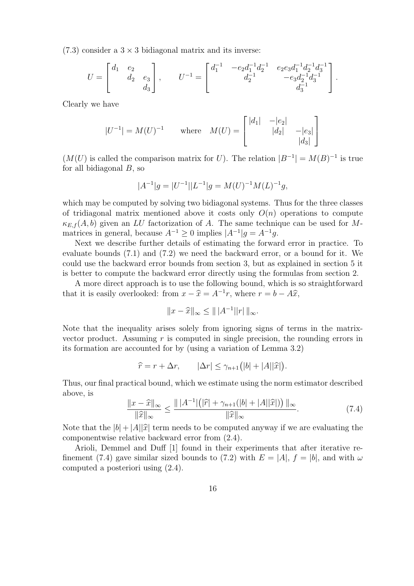$(7.3)$  consider a  $3 \times 3$  bidiagonal matrix and its inverse:

$$
U = \begin{bmatrix} d_1 & e_2 \\ & d_2 & e_3 \\ & & d_3 \end{bmatrix}, \qquad U^{-1} = \begin{bmatrix} d_1^{-1} & -e_2 d_1^{-1} d_2^{-1} & e_2 e_3 d_1^{-1} d_2^{-1} d_3^{-1} \\ & & d_2^{-1} & -e_3 d_2^{-1} d_3^{-1} \\ & & & d_3^{-1} \end{bmatrix}.
$$

Clearly we have

$$
|U^{-1}| = M(U)^{-1}
$$
 where  $M(U) = \begin{bmatrix} |d_1| & -|e_2| & & \\ & |d_2| & -|e_3| & \\ & & |d_3| \end{bmatrix}$ 

 $(M(U))$  is called the comparison matrix for U). The relation  $|B^{-1}| = M(B)^{-1}$  is true for all bidiagonal  $B$ , so

$$
|A^{-1}|g = |U^{-1}||L^{-1}|g = M(U)^{-1}M(L)^{-1}g,
$$

which may be computed by solving two bidiagonal systems. Thus for the three classes of tridiagonal matrix mentioned above it costs only  $O(n)$  operations to compute  $\kappa_{E,f}(A, b)$  given an LU factorization of A. The same technique can be used for Mmatrices in general, because  $A^{-1} \geq 0$  implies  $|A^{-1}|g = A^{-1}g$ .

Next we describe further details of estimating the forward error in practice. To evaluate bounds (7.1) and (7.2) we need the backward error, or a bound for it. We could use the backward error bounds from section 3, but as explained in section 5 it is better to compute the backward error directly using the formulas from section 2.

A more direct approach is to use the following bound, which is so straightforward that it is easily overlooked: from  $x - \hat{x} = A^{-1}r$ , where  $r = b - A\hat{x}$ ,

$$
||x - \widehat{x}||_{\infty} \le |||A^{-1}||r||_{\infty}.
$$

Note that the inequality arises solely from ignoring signs of terms in the matrixvector product. Assuming  $r$  is computed in single precision, the rounding errors in its formation are accounted for by (using a variation of Lemma 3.2)

$$
\widehat{r} = r + \Delta r, \qquad |\Delta r| \leq \gamma_{n+1} (|b| + |A||\widehat{x}|).
$$

Thus, our final practical bound, which we estimate using the norm estimator described above, is

$$
\frac{\|x-\hat{x}\|_{\infty}}{\|\hat{x}\|_{\infty}} \le \frac{\| |A^{-1}| \big( |\hat{r}| + \gamma_{n+1}(|b| + |A||\hat{x}|) \big) \|_{\infty}}{\|\hat{x}\|_{\infty}}.
$$
\n(7.4)

Note that the  $|b| + |A||\hat{x}|$  term needs to be computed anyway if we are evaluating the componentwise relative backward error from (2.4).

Arioli, Demmel and Duff [1] found in their experiments that after iterative refinement (7.4) gave similar sized bounds to (7.2) with  $E = |A|$ ,  $f = |b|$ , and with  $\omega$ computed a posteriori using (2.4).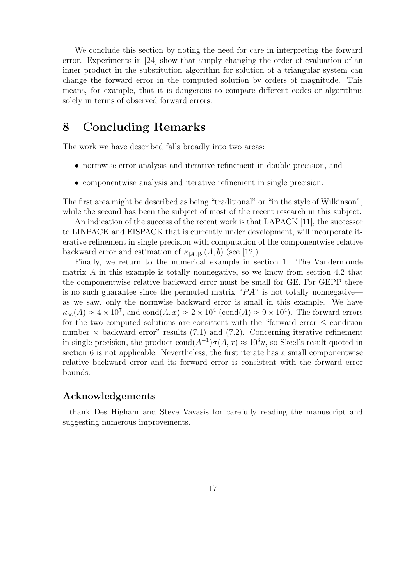We conclude this section by noting the need for care in interpreting the forward error. Experiments in [24] show that simply changing the order of evaluation of an inner product in the substitution algorithm for solution of a triangular system can change the forward error in the computed solution by orders of magnitude. This means, for example, that it is dangerous to compare different codes or algorithms solely in terms of observed forward errors.

### 8 Concluding Remarks

The work we have described falls broadly into two areas:

- normwise error analysis and iterative refinement in double precision, and
- componentwise analysis and iterative refinement in single precision.

The first area might be described as being "traditional" or "in the style of Wilkinson", while the second has been the subject of most of the recent research in this subject.

An indication of the success of the recent work is that LAPACK [11], the successor to LINPACK and EISPACK that is currently under development, will incorporate iterative refinement in single precision with computation of the componentwise relative backward error and estimation of  $\kappa_{|A|,|b|}(A, b)$  (see [12]).

Finally, we return to the numerical example in section 1. The Vandermonde matrix A in this example is totally nonnegative, so we know from section 4.2 that the componentwise relative backward error must be small for GE. For GEPP there is no such guarantee since the permuted matrix " $PA$ " is not totally nonnegative as we saw, only the normwise backward error is small in this example. We have  $\kappa_{\infty}(A) \approx 4 \times 10^7$ , and cond $(A, x) \approx 2 \times 10^4$  (cond $(A) \approx 9 \times 10^4$ ). The forward errors for the two computed solutions are consistent with the "forward error  $\leq$  condition number  $\times$  backward error" results (7.1) and (7.2). Concerning iterative refinement in single precision, the product  $\text{cond}(A^{-1})\sigma(A, x) \approx 10^3 u$ , so Skeel's result quoted in section 6 is not applicable. Nevertheless, the first iterate has a small componentwise relative backward error and its forward error is consistent with the forward error bounds.

### Acknowledgements

I thank Des Higham and Steve Vavasis for carefully reading the manuscript and suggesting numerous improvements.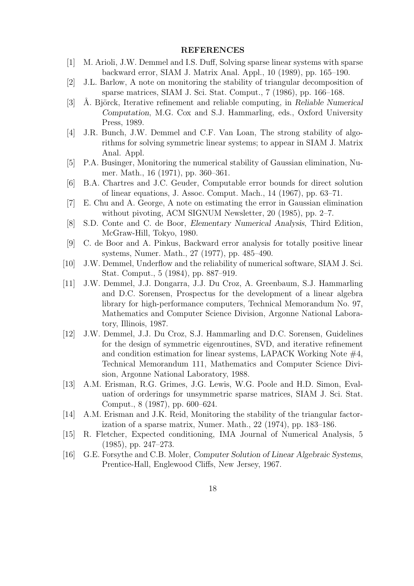#### **REFERENCES**

- [1] M. Arioli, J.W. Demmel and I.S. Duff, Solving sparse linear systems with sparse backward error, SIAM J. Matrix Anal. Appl., 10 (1989), pp. 165–190.
- [2] J.L. Barlow, A note on monitoring the stability of triangular decomposition of sparse matrices, SIAM J. Sci. Stat. Comput., 7 (1986), pp. 166–168.
- [3] Å. Björck, Iterative refinement and reliable computing, in Reliable Numerical Computation, M.G. Cox and S.J. Hammarling, eds., Oxford University Press, 1989.
- [4] J.R. Bunch, J.W. Demmel and C.F. Van Loan, The strong stability of algorithms for solving symmetric linear systems; to appear in SIAM J. Matrix Anal. Appl.
- [5] P.A. Businger, Monitoring the numerical stability of Gaussian elimination, Numer. Math., 16 (1971), pp. 360–361.
- [6] B.A. Chartres and J.C. Geuder, Computable error bounds for direct solution of linear equations, J. Assoc. Comput. Mach., 14 (1967), pp. 63–71.
- [7] E. Chu and A. George, A note on estimating the error in Gaussian elimination without pivoting, ACM SIGNUM Newsletter, 20 (1985), pp. 2–7.
- [8] S.D. Conte and C. de Boor, Elementary Numerical Analysis, Third Edition, McGraw-Hill, Tokyo, 1980.
- [9] C. de Boor and A. Pinkus, Backward error analysis for totally positive linear systems, Numer. Math., 27 (1977), pp. 485–490.
- [10] J.W. Demmel, Underflow and the reliability of numerical software, SIAM J. Sci. Stat. Comput., 5 (1984), pp. 887–919.
- [11] J.W. Demmel, J.J. Dongarra, J.J. Du Croz, A. Greenbaum, S.J. Hammarling and D.C. Sorensen, Prospectus for the development of a linear algebra library for high-performance computers, Technical Memorandum No. 97, Mathematics and Computer Science Division, Argonne National Laboratory, Illinois, 1987.
- [12] J.W. Demmel, J.J. Du Croz, S.J. Hammarling and D.C. Sorensen, Guidelines for the design of symmetric eigenroutines, SVD, and iterative refinement and condition estimation for linear systems, LAPACK Working Note  $#4$ , Technical Memorandum 111, Mathematics and Computer Science Division, Argonne National Laboratory, 1988.
- [13] A.M. Erisman, R.G. Grimes, J.G. Lewis, W.G. Poole and H.D. Simon, Evaluation of orderings for unsymmetric sparse matrices, SIAM J. Sci. Stat. Comput., 8 (1987), pp. 600–624.
- [14] A.M. Erisman and J.K. Reid, Monitoring the stability of the triangular factorization of a sparse matrix, Numer. Math., 22 (1974), pp. 183–186.
- [15] R. Fletcher, Expected conditioning, IMA Journal of Numerical Analysis, 5 (1985), pp. 247–273.
- [16] G.E. Forsythe and C.B. Moler, Computer Solution of Linear Algebraic Systems, Prentice-Hall, Englewood Cliffs, New Jersey, 1967.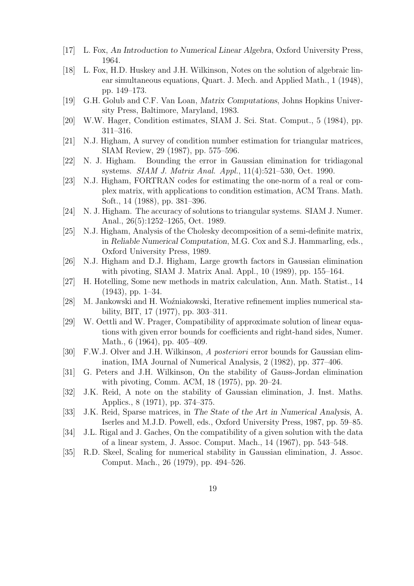- [17] L. Fox, An Introduction to Numerical Linear Algebra, Oxford University Press, 1964.
- [18] L. Fox, H.D. Huskey and J.H. Wilkinson, Notes on the solution of algebraic linear simultaneous equations, Quart. J. Mech. and Applied Math., 1 (1948), pp. 149–173.
- [19] G.H. Golub and C.F. Van Loan, Matrix Computations, Johns Hopkins University Press, Baltimore, Maryland, 1983.
- [20] W.W. Hager, Condition estimates, SIAM J. Sci. Stat. Comput., 5 (1984), pp. 311–316.
- [21] N.J. Higham, A survey of condition number estimation for triangular matrices, SIAM Review, 29 (1987), pp. 575–596.
- [22] N. J. Higham. Bounding the error in Gaussian elimination for tridiagonal systems. SIAM J. Matrix Anal. Appl., 11(4):521–530, Oct. 1990.
- [23] N.J. Higham, FORTRAN codes for estimating the one-norm of a real or complex matrix, with applications to condition estimation, ACM Trans. Math. Soft., 14 (1988), pp. 381–396.
- [24] N. J. Higham. The accuracy of solutions to triangular systems. SIAM J. Numer. Anal., 26(5):1252–1265, Oct. 1989.
- [25] N.J. Higham, Analysis of the Cholesky decomposition of a semi-definite matrix, in Reliable Numerical Computation, M.G. Cox and S.J. Hammarling, eds., Oxford University Press, 1989.
- [26] N.J. Higham and D.J. Higham, Large growth factors in Gaussian elimination with pivoting, SIAM J. Matrix Anal. Appl., 10 (1989), pp. 155–164.
- [27] H. Hotelling, Some new methods in matrix calculation, Ann. Math. Statist., 14 (1943), pp. 1–34.
- [28] M. Jankowski and H. Woźniakowski, Iterative refinement implies numerical stability, BIT, 17 (1977), pp. 303–311.
- [29] W. Oettli and W. Prager, Compatibility of approximate solution of linear equations with given error bounds for coefficients and right-hand sides, Numer. Math., 6 (1964), pp. 405–409.
- [30] F.W.J. Olver and J.H. Wilkinson, A posteriori error bounds for Gaussian elimination, IMA Journal of Numerical Analysis, 2 (1982), pp. 377–406.
- [31] G. Peters and J.H. Wilkinson, On the stability of Gauss-Jordan elimination with pivoting, Comm. ACM, 18 (1975), pp. 20–24.
- [32] J.K. Reid, A note on the stability of Gaussian elimination, J. Inst. Maths. Applics., 8 (1971), pp. 374–375.
- [33] J.K. Reid, Sparse matrices, in The State of the Art in Numerical Analysis, A. Iserles and M.J.D. Powell, eds., Oxford University Press, 1987, pp. 59–85.
- [34] J.L. Rigal and J. Gaches, On the compatibility of a given solution with the data of a linear system, J. Assoc. Comput. Mach., 14 (1967), pp. 543–548.
- [35] R.D. Skeel, Scaling for numerical stability in Gaussian elimination, J. Assoc. Comput. Mach., 26 (1979), pp. 494–526.